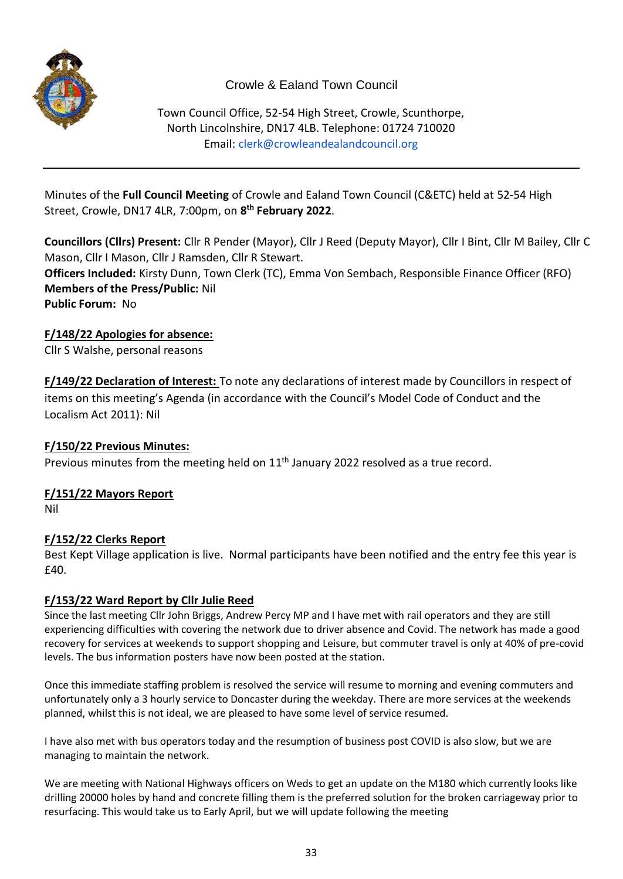

# Crowle & Ealand Town Council

Town Council Office, 52-54 High Street, Crowle, Scunthorpe, North Lincolnshire, DN17 4LB. Telephone: 01724 710020 Email: [clerk@crowleandealandcouncil.org](mailto:clerk@crowleandealandcouncil.org)

Minutes of the **Full Council Meeting** of Crowle and Ealand Town Council (C&ETC) held at 52-54 High Street, Crowle, DN17 4LR, 7:00pm, on **8 th February 2022**.

**Councillors (Cllrs) Present:** Cllr R Pender (Mayor), Cllr J Reed (Deputy Mayor), Cllr I Bint, Cllr M Bailey, Cllr C Mason, Cllr I Mason, Cllr J Ramsden, Cllr R Stewart. **Officers Included:** Kirsty Dunn, Town Clerk (TC), Emma Von Sembach, Responsible Finance Officer (RFO) **Members of the Press/Public:** Nil **Public Forum:** No

### **F/148/22 Apologies for absence:**

Cllr S Walshe, personal reasons

**F/149/22 Declaration of Interest:** To note any declarations of interest made by Councillors in respect of items on this meeting's Agenda (in accordance with the Council's Model Code of Conduct and the Localism Act 2011): Nil

### **F/150/22 Previous Minutes:**

Previous minutes from the meeting held on  $11<sup>th</sup>$  January 2022 resolved as a true record.

### **F/151/22 Mayors Report**

Nil

## **F/152/22 Clerks Report**

Best Kept Village application is live. Normal participants have been notified and the entry fee this year is £40.

### **F/153/22 Ward Report by Cllr Julie Reed**

Since the last meeting Cllr John Briggs, Andrew Percy MP and I have met with rail operators and they are still experiencing difficulties with covering the network due to driver absence and Covid. The network has made a good recovery for services at weekends to support shopping and Leisure, but commuter travel is only at 40% of pre-covid levels. The bus information posters have now been posted at the station.

Once this immediate staffing problem is resolved the service will resume to morning and evening commuters and unfortunately only a 3 hourly service to Doncaster during the weekday. There are more services at the weekends planned, whilst this is not ideal, we are pleased to have some level of service resumed.

I have also met with bus operators today and the resumption of business post COVID is also slow, but we are managing to maintain the network.

We are meeting with National Highways officers on Weds to get an update on the M180 which currently looks like drilling 20000 holes by hand and concrete filling them is the preferred solution for the broken carriageway prior to resurfacing. This would take us to Early April, but we will update following the meeting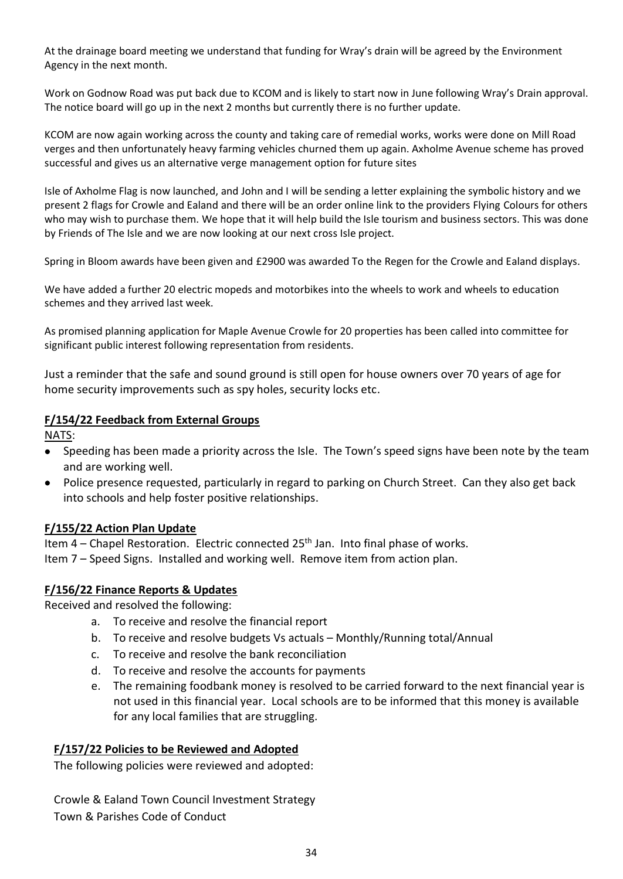At the drainage board meeting we understand that funding for Wray's drain will be agreed by the Environment Agency in the next month.

Work on Godnow Road was put back due to KCOM and is likely to start now in June following Wray's Drain approval. The notice board will go up in the next 2 months but currently there is no further update.

KCOM are now again working across the county and taking care of remedial works, works were done on Mill Road verges and then unfortunately heavy farming vehicles churned them up again. Axholme Avenue scheme has proved successful and gives us an alternative verge management option for future sites

Isle of Axholme Flag is now launched, and John and I will be sending a letter explaining the symbolic history and we present 2 flags for Crowle and Ealand and there will be an order online link to the providers Flying Colours for others who may wish to purchase them. We hope that it will help build the Isle tourism and business sectors. This was done by Friends of The Isle and we are now looking at our next cross Isle project.

Spring in Bloom awards have been given and £2900 was awarded To the Regen for the Crowle and Ealand displays.

We have added a further 20 electric mopeds and motorbikes into the wheels to work and wheels to education schemes and they arrived last week.

As promised planning application for Maple Avenue Crowle for 20 properties has been called into committee for significant public interest following representation from residents.

Just a reminder that the safe and sound ground is still open for house owners over 70 years of age for home security improvements such as spy holes, security locks etc.

#### **F/154/22 Feedback from External Groups**

NATS:

- Speeding has been made a priority across the Isle. The Town's speed signs have been note by the team and are working well.
- Police presence requested, particularly in regard to parking on Church Street. Can they also get back into schools and help foster positive relationships.

#### **F/155/22 Action Plan Update**

Item  $4$  – Chapel Restoration. Electric connected  $25<sup>th</sup>$  Jan. Into final phase of works. Item 7 – Speed Signs. Installed and working well. Remove item from action plan.

### **F/156/22 Finance Reports & Updates**

Received and resolved the following:

- a. To receive and resolve the financial report
- b. To receive and resolve budgets Vs actuals Monthly/Running total/Annual
- c. To receive and resolve the bank reconciliation
- d. To receive and resolve the accounts for payments
- e. The remaining foodbank money is resolved to be carried forward to the next financial year is not used in this financial year. Local schools are to be informed that this money is available for any local families that are struggling.

#### **F/157/22 Policies to be Reviewed and Adopted**

The following policies were reviewed and adopted:

Crowle & Ealand Town Council Investment Strategy Town & Parishes Code of Conduct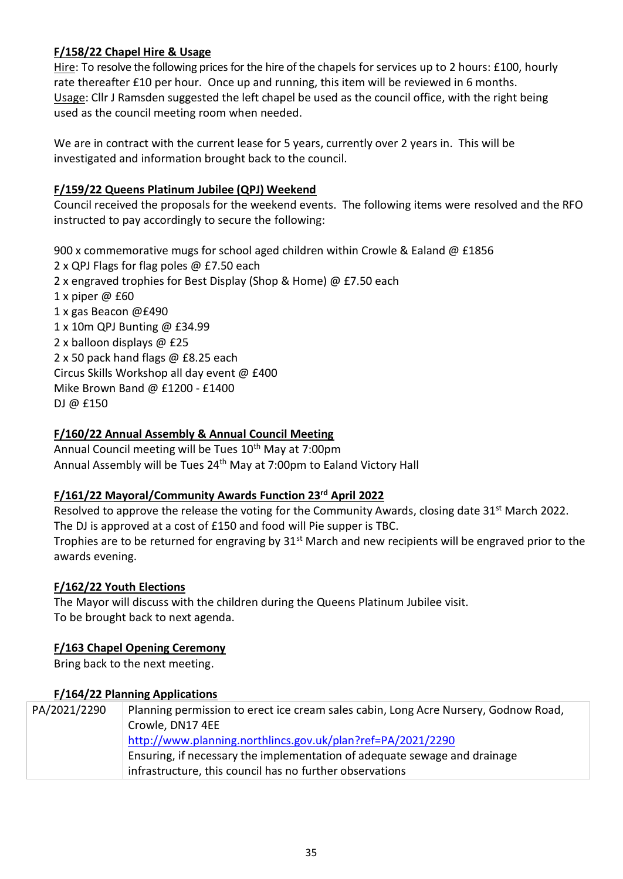### **F/158/22 Chapel Hire & Usage**

Hire: To resolve the following prices for the hire of the chapels for services up to 2 hours: £100, hourly rate thereafter £10 per hour. Once up and running, this item will be reviewed in 6 months. Usage: Cllr J Ramsden suggested the left chapel be used as the council office, with the right being used as the council meeting room when needed.

We are in contract with the current lease for 5 years, currently over 2 years in. This will be investigated and information brought back to the council.

### **F/159/22 Queens Platinum Jubilee (QPJ) Weekend**

Council received the proposals for the weekend events. The following items were resolved and the RFO instructed to pay accordingly to secure the following:

900 x commemorative mugs for school aged children within Crowle & Ealand @ £1856 2 x QPJ Flags for flag poles @ £7.50 each 2 x engraved trophies for Best Display (Shop & Home) @ £7.50 each 1 x piper @ £60 1 x gas Beacon @£490 1 x 10m QPJ Bunting @ £34.99 2 x balloon displays @ £25 2 x 50 pack hand flags @ £8.25 each Circus Skills Workshop all day event @ £400 Mike Brown Band @ £1200 - £1400 DJ @ £150

### **F/160/22 Annual Assembly & Annual Council Meeting**

Annual Council meeting will be Tues 10<sup>th</sup> May at 7:00pm Annual Assembly will be Tues 24<sup>th</sup> May at 7:00pm to Ealand Victory Hall

### **F/161/22 Mayoral/Community Awards Function 23rd April 2022**

Resolved to approve the release the voting for the Community Awards, closing date 31<sup>st</sup> March 2022. The DJ is approved at a cost of £150 and food will Pie supper is TBC. Trophies are to be returned for engraving by 31<sup>st</sup> March and new recipients will be engraved prior to the

### **F/162/22 Youth Elections**

awards evening.

The Mayor will discuss with the children during the Queens Platinum Jubilee visit. To be brought back to next agenda.

### **F/163 Chapel Opening Ceremony**

Bring back to the next meeting.

### **F/164/22 Planning Applications**

| PA/2021/2290 | Planning permission to erect ice cream sales cabin, Long Acre Nursery, Godnow Road, |
|--------------|-------------------------------------------------------------------------------------|
|              | Crowle, DN17 4EE                                                                    |
|              | http://www.planning.northlincs.gov.uk/plan?ref=PA/2021/2290                         |
|              | Ensuring, if necessary the implementation of adequate sewage and drainage           |
|              | infrastructure, this council has no further observations                            |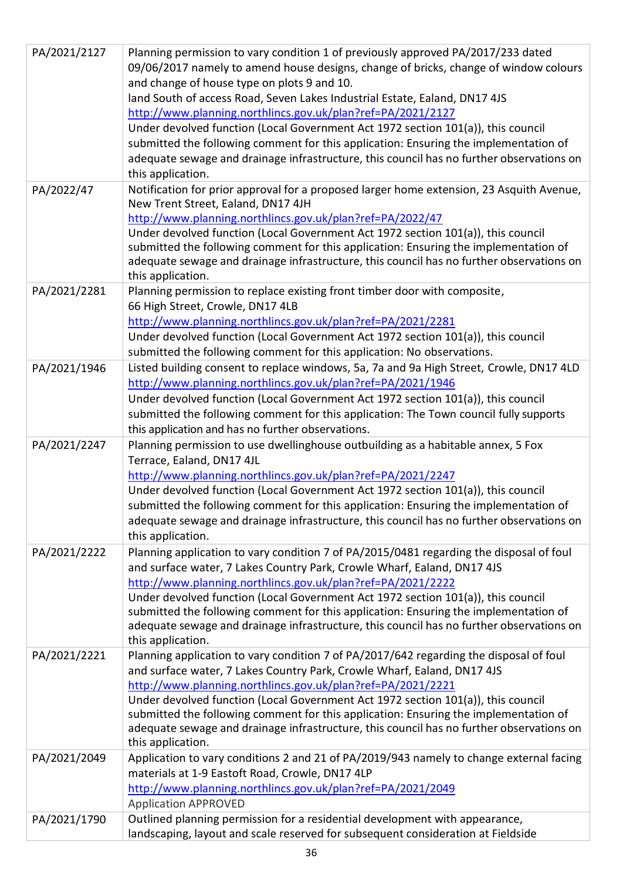| PA/2021/2127 | Planning permission to vary condition 1 of previously approved PA/2017/233 dated<br>09/06/2017 namely to amend house designs, change of bricks, change of window colours<br>and change of house type on plots 9 and 10.<br>land South of access Road, Seven Lakes Industrial Estate, Ealand, DN17 4JS<br>http://www.planning.northlincs.gov.uk/plan?ref=PA/2021/2127<br>Under devolved function (Local Government Act 1972 section 101(a)), this council<br>submitted the following comment for this application: Ensuring the implementation of<br>adequate sewage and drainage infrastructure, this council has no further observations on<br>this application. |
|--------------|-------------------------------------------------------------------------------------------------------------------------------------------------------------------------------------------------------------------------------------------------------------------------------------------------------------------------------------------------------------------------------------------------------------------------------------------------------------------------------------------------------------------------------------------------------------------------------------------------------------------------------------------------------------------|
| PA/2022/47   | Notification for prior approval for a proposed larger home extension, 23 Asquith Avenue,<br>New Trent Street, Ealand, DN17 4JH<br>http://www.planning.northlincs.gov.uk/plan?ref=PA/2022/47<br>Under devolved function (Local Government Act 1972 section 101(a)), this council<br>submitted the following comment for this application: Ensuring the implementation of<br>adequate sewage and drainage infrastructure, this council has no further observations on<br>this application.                                                                                                                                                                          |
| PA/2021/2281 | Planning permission to replace existing front timber door with composite,<br>66 High Street, Crowle, DN17 4LB<br>http://www.planning.northlincs.gov.uk/plan?ref=PA/2021/2281<br>Under devolved function (Local Government Act 1972 section 101(a)), this council<br>submitted the following comment for this application: No observations.                                                                                                                                                                                                                                                                                                                        |
| PA/2021/1946 | Listed building consent to replace windows, 5a, 7a and 9a High Street, Crowle, DN17 4LD<br>http://www.planning.northlincs.gov.uk/plan?ref=PA/2021/1946<br>Under devolved function (Local Government Act 1972 section 101(a)), this council<br>submitted the following comment for this application: The Town council fully supports<br>this application and has no further observations.                                                                                                                                                                                                                                                                          |
| PA/2021/2247 | Planning permission to use dwellinghouse outbuilding as a habitable annex, 5 Fox<br>Terrace, Ealand, DN17 4JL<br>http://www.planning.northlincs.gov.uk/plan?ref=PA/2021/2247<br>Under devolved function (Local Government Act 1972 section 101(a)), this council<br>submitted the following comment for this application: Ensuring the implementation of<br>adequate sewage and drainage infrastructure, this council has no further observations on<br>this application.                                                                                                                                                                                         |
| PA/2021/2222 | Planning application to vary condition 7 of PA/2015/0481 regarding the disposal of foul<br>and surface water, 7 Lakes Country Park, Crowle Wharf, Ealand, DN17 4JS<br>http://www.planning.northlincs.gov.uk/plan?ref=PA/2021/2222<br>Under devolved function (Local Government Act 1972 section 101(a)), this council<br>submitted the following comment for this application: Ensuring the implementation of<br>adequate sewage and drainage infrastructure, this council has no further observations on<br>this application.                                                                                                                                    |
| PA/2021/2221 | Planning application to vary condition 7 of PA/2017/642 regarding the disposal of foul<br>and surface water, 7 Lakes Country Park, Crowle Wharf, Ealand, DN17 4JS<br>http://www.planning.northlincs.gov.uk/plan?ref=PA/2021/2221<br>Under devolved function (Local Government Act 1972 section 101(a)), this council<br>submitted the following comment for this application: Ensuring the implementation of<br>adequate sewage and drainage infrastructure, this council has no further observations on<br>this application.                                                                                                                                     |
| PA/2021/2049 | Application to vary conditions 2 and 21 of PA/2019/943 namely to change external facing<br>materials at 1-9 Eastoft Road, Crowle, DN17 4LP<br>http://www.planning.northlincs.gov.uk/plan?ref=PA/2021/2049<br><b>Application APPROVED</b>                                                                                                                                                                                                                                                                                                                                                                                                                          |
| PA/2021/1790 | Outlined planning permission for a residential development with appearance,<br>landscaping, layout and scale reserved for subsequent consideration at Fieldside                                                                                                                                                                                                                                                                                                                                                                                                                                                                                                   |